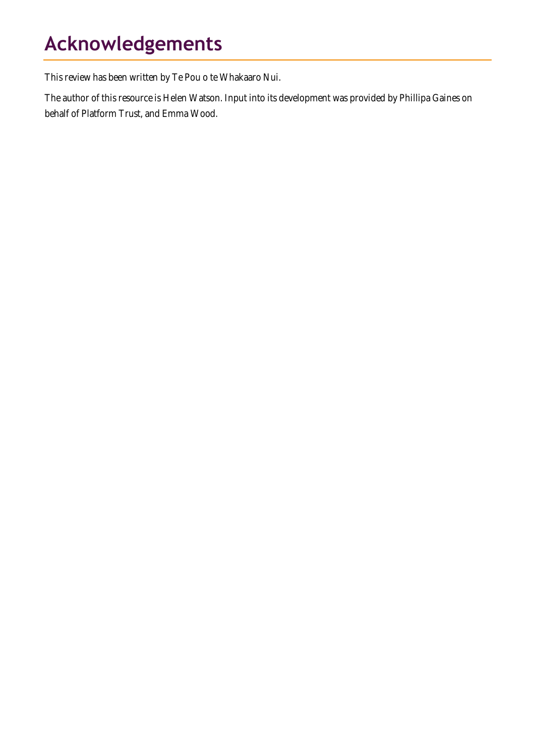# **Acknowledgements**

This review has been written by Te Pou o te Whakaaro Nui.

The author of this resource is Helen Watson. Input into its development was provided by Phillipa Gaines on behalf of Platform Trust, and Emma Wood.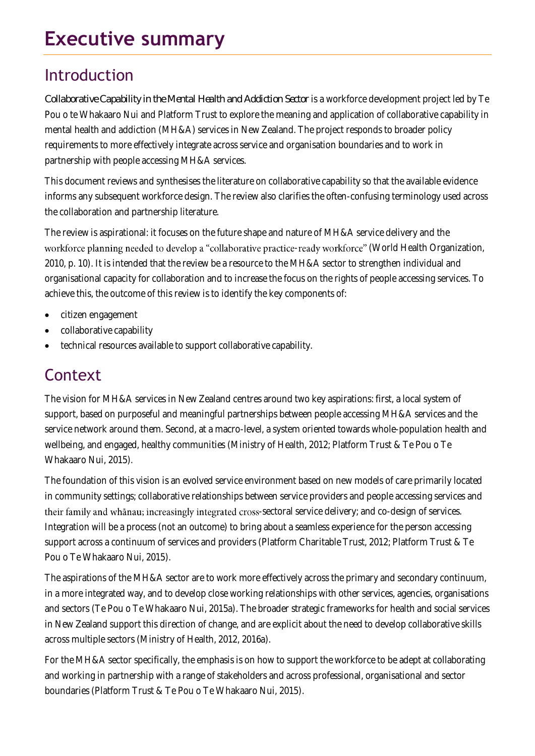# **Executive summary**

### Introduction

*Collaborative Capability in the Mental Health and Addiction Sector* is a workforce development project led by Te Pou o te Whakaaro Nui and Platform Trust to explore the meaning and application of collaborative capability in mental health and addiction (MH&A) services in New Zealand. The project responds to broader policy requirements to more effectively integrate across service and organisation boundaries and to work in partnership with people accessing MH&A services.

This document reviews and synthesises the literature on collaborative capability so that the available evidence informs any subsequent workforce design. The review also clarifies the often-confusing terminology used across the collaboration and partnership literature.

The review is aspirational: it focuses on the future shape and nature of MH&A service delivery and the workforce planning needed to develop a "collaborative practice-ready workforce" (World Health Organization, 2010, p. 10). It is intended that the review be a resource to the MH&A sector to strengthen individual and organisational capacity for collaboration and to increase the focus on the rights of people accessing services. To achieve this, the outcome of this review is to identify the key components of:

- citizen engagement
- collaborative capability
- technical resources available to support collaborative capability.

## **Context**

The vision for MH&A services in New Zealand centres around two key aspirations: first, a local system of support, based on purposeful and meaningful partnerships between people accessing MH&A services and the service network around them. Second, at a macro-level, a system oriented towards whole-population health and wellbeing, and engaged, healthy communities (Ministry of Health, 2012; Platform Trust & Te Pou o Te Whakaaro Nui, 2015).

The foundation of this vision is an evolved service environment based on new models of care primarily located in community settings; collaborative relationships between service providers and people accessing services and their family and whānau; increasingly integrated cross-sectoral service delivery; and co-design of services. Integration will be a process (not an outcome) to bring about a seamless experience for the person accessing support across a continuum of services and providers (Platform Charitable Trust, 2012; Platform Trust & Te Pou o Te Whakaaro Nui, 2015).

The aspirations of the MH&A sector are to work more effectively across the primary and secondary continuum, in a more integrated way, and to develop close working relationships with other services, agencies, organisations and sectors (Te Pou o Te Whakaaro Nui, 2015a). The broader strategic frameworks for health and social services in New Zealand support this direction of change, and are explicit about the need to develop collaborative skills across multiple sectors (Ministry of Health, 2012, 2016a).

For the MH&A sector specifically, the emphasis is on how to support the workforce to be adept at collaborating and working in partnership with a range of stakeholders and across professional, organisational and sector boundaries (Platform Trust & Te Pou o Te Whakaaro Nui, 2015).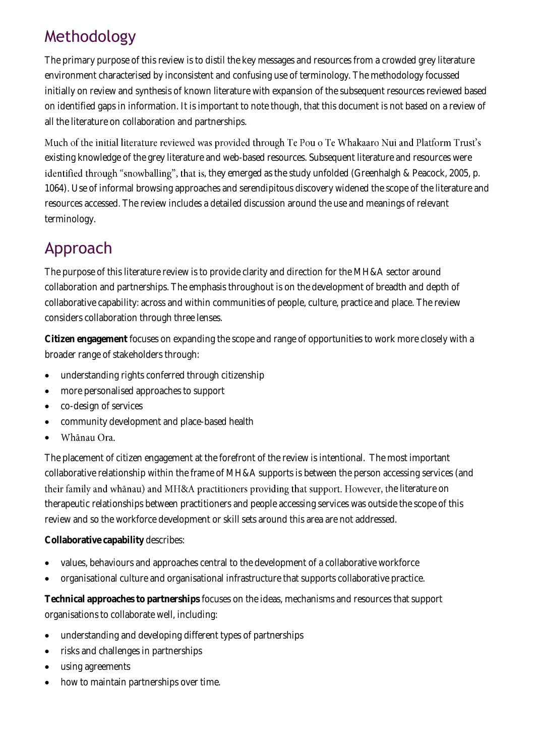# Methodology

The primary purpose of this review is to distil the key messages and resources from a crowded grey literature environment characterised by inconsistent and confusing use of terminology. The methodology focussed initially on review and synthesis of known literature with expansion of the subsequent resources reviewed based on identified gaps in information. It is important to note though, that this document is not based on a review of all the literature on collaboration and partnerships.

Much of the initial literature reviewed was provided through Te Pou o Te Whakaaro Nui and Platform Trust's existing knowledge of the grey literature and web-based resources. Subsequent literature and resources were identified through "snowballing", that is, they emerged as the study unfolded (Greenhalgh & Peacock, 2005, p. 1064). Use of informal browsing approaches and serendipitous discovery widened the scope of the literature and resources accessed. The review includes a detailed discussion around the use and meanings of relevant terminology.

# Approach

The purpose of this literature review is to provide clarity and direction for the MH&A sector around collaboration and partnerships. The emphasis throughout is on the development of breadth and depth of collaborative capability: across and within communities of people, culture, practice and place. The review considers collaboration through three lenses.

**Citizen engagement** focuses on expanding the scope and range of opportunities to work more closely with a broader range of stakeholders through:

- understanding rights conferred through citizenship
- more personalised approaches to support
- co-design of services
- community development and place-based health
- Whānau Ora.

The placement of citizen engagement at the forefront of the review is intentional. The most important collaborative relationship within the frame of MH&A supports is between the person accessing services (and their family and whānau) and MH&A practitioners providing that support. However, the literature on therapeutic relationships between practitioners and people accessing services was outside the scope of this review and so the workforce development or skill sets around this area are not addressed.

**Collaborative capability** describes:

- values, behaviours and approaches central to the development of a collaborative workforce
- organisational culture and organisational infrastructure that supports collaborative practice.

**Technical approaches to partnerships** focuses on the ideas, mechanisms and resources that support organisations to collaborate well, including:

- understanding and developing different types of partnerships
- risks and challenges in partnerships
- using agreements
- how to maintain partnerships over time.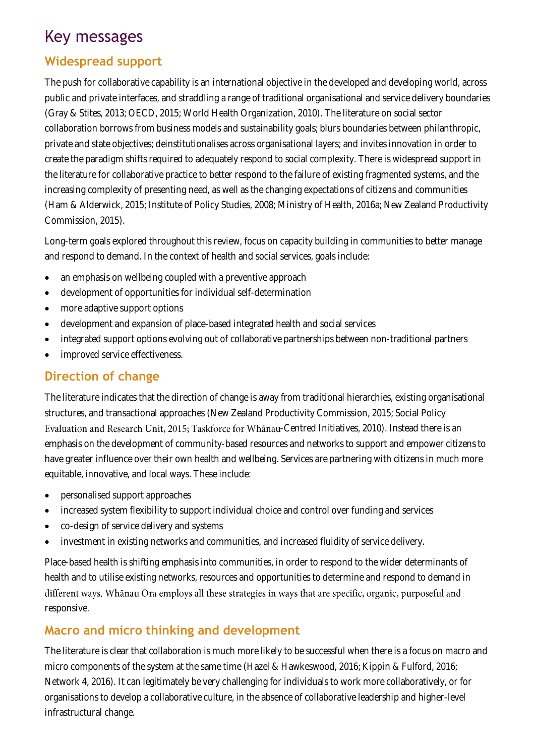### Key messages

#### **Widespread support**

The push for collaborative capability is an international objective in the developed and developing world, across public and private interfaces, and straddling a range of traditional organisational and service delivery boundaries (Gray & Stites, 2013; OECD, 2015; World Health Organization, 2010). The literature on social sector collaboration borrows from business models and sustainability goals; blurs boundaries between philanthropic, private and state objectives; deinstitutionalises across organisational layers; and invites innovation in order to create the paradigm shifts required to adequately respond to social complexity. There is widespread support in the literature for collaborative practice to better respond to the failure of existing fragmented systems, and the increasing complexity of presenting need, as well as the changing expectations of citizens and communities (Ham & Alderwick, 2015; Institute of Policy Studies, 2008; Ministry of Health, 2016a; New Zealand Productivity Commission, 2015).

Long-term goals explored throughout this review, focus on capacity building in communities to better manage and respond to demand. In the context of health and social services, goals include:

- an emphasis on wellbeing coupled with a preventive approach
- development of opportunities for individual self-determination
- more adaptive support options
- development and expansion of place-based integrated health and social services
- integrated support options evolving out of collaborative partnerships between non-traditional partners
- improved service effectiveness.

#### **Direction of change**

The literature indicates that the direction of change is away from traditional hierarchies, existing organisational structures, and transactional approaches (New Zealand Productivity Commission, 2015; Social Policy Evaluation and Research Unit, 2015; Taskforce for Whanau-Centred Initiatives, 2010). Instead there is an emphasis on the development of community-based resources and networks to support and empower citizens to have greater influence over their own health and wellbeing. Services are partnering with citizens in much more equitable, innovative, and local ways. These include:

- personalised support approaches
- increased system flexibility to support individual choice and control over funding and services
- co-design of service delivery and systems
- investment in existing networks and communities, and increased fluidity of service delivery.

Place-based health is shifting emphasis into communities, in order to respond to the wider determinants of health and to utilise existing networks, resources and opportunities to determine and respond to demand in different ways. Whanau Ora employs all these strategies in ways that are specific, organic, purposeful and responsive.

#### **Macro and micro thinking and development**

The literature is clear that collaboration is much more likely to be successful when there is a focus on macro and micro components of the system at the same time (Hazel & Hawkeswood, 2016; Kippin & Fulford, 2016; Network 4, 2016). It can legitimately be very challenging for individuals to work more collaboratively, or for organisations to develop a collaborative culture, in the absence of collaborative leadership and higher-level infrastructural change.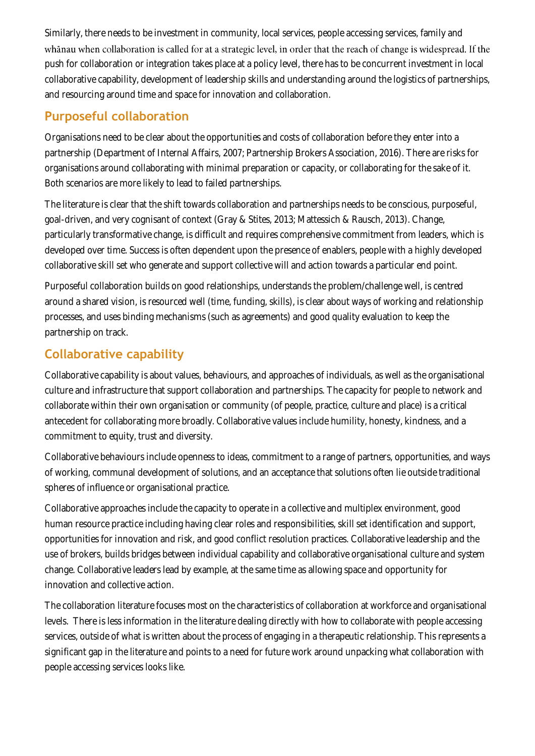Similarly, there needs to be investment in community, local services, people accessing services, family and whanau when collaboration is called for at a strategic level, in order that the reach of change is widespread. If the push for collaboration or integration takes place at a policy level, there has to be concurrent investment in local collaborative capability, development of leadership skills and understanding around the logistics of partnerships, and resourcing around time and space for innovation and collaboration.

#### **Purposeful collaboration**

Organisations need to be clear about the opportunities and costs of collaboration before they enter into a partnership (Department of Internal Affairs, 2007; Partnership Brokers Association, 2016). There are risks for organisations around collaborating with minimal preparation or capacity, or collaborating for the sake of it. Both scenarios are more likely to lead to failed partnerships.

The literature is clear that the shift towards collaboration and partnerships needs to be conscious, purposeful, goal-driven, and very cognisant of context (Gray & Stites, 2013; Mattessich & Rausch, 2013). Change, particularly transformative change, is difficult and requires comprehensive commitment from leaders, which is developed over time. Success is often dependent upon the presence of enablers, people with a highly developed collaborative skill set who generate and support collective will and action towards a particular end point.

Purposeful collaboration builds on good relationships, understands the problem/challenge well, is centred around a shared vision, is resourced well (time, funding, skills), is clear about ways of working and relationship processes, and uses binding mechanisms (such as agreements) and good quality evaluation to keep the partnership on track.

#### **Collaborative capability**

Collaborative capability is about values, behaviours, and approaches of individuals, as well as the organisational culture and infrastructure that support collaboration and partnerships. The capacity for people to network and collaborate within their own organisation or community (of people, practice, culture and place) is a critical antecedent for collaborating more broadly. Collaborative values include humility, honesty, kindness, and a commitment to equity, trust and diversity.

Collaborative behaviours include openness to ideas, commitment to a range of partners, opportunities, and ways of working, communal development of solutions, and an acceptance that solutions often lie outside traditional spheres of influence or organisational practice.

Collaborative approaches include the capacity to operate in a collective and multiplex environment, good human resource practice including having clear roles and responsibilities, skill set identification and support, opportunities for innovation and risk, and good conflict resolution practices. Collaborative leadership and the use of brokers, builds bridges between individual capability and collaborative organisational culture and system change. Collaborative leaders lead by example, at the same time as allowing space and opportunity for innovation and collective action.

The collaboration literature focuses most on the characteristics of collaboration at workforce and organisational levels. There is less information in the literature dealing directly with how to collaborate with people accessing services, outside of what is written about the process of engaging in a therapeutic relationship. This represents a significant gap in the literature and points to a need for future work around unpacking what collaboration with people accessing services looks like.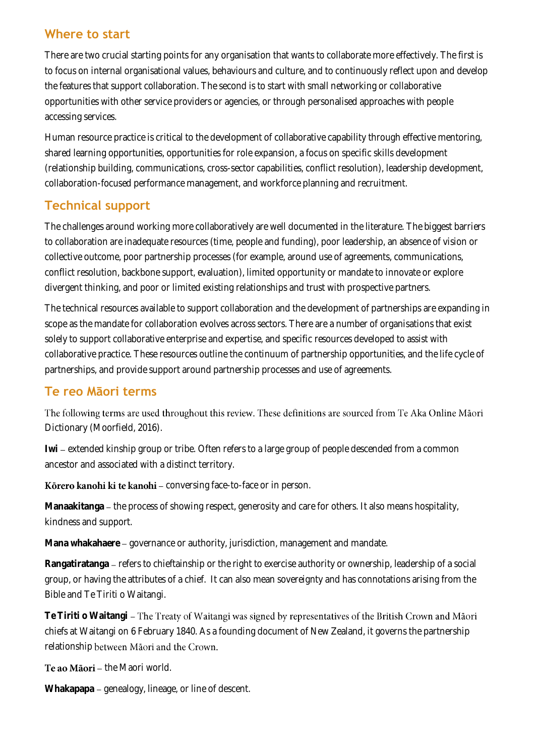#### **Where to start**

There are two crucial starting points for any organisation that wants to collaborate more effectively. The first is to focus on internal organisational values, behaviours and culture, and to continuously reflect upon and develop the features that support collaboration. The second is to start with small networking or collaborative opportunities with other service providers or agencies, or through personalised approaches with people accessing services.

Human resource practice is critical to the development of collaborative capability through effective mentoring, shared learning opportunities, opportunities for role expansion, a focus on specific skills development (relationship building, communications, cross-sector capabilities, conflict resolution), leadership development, collaboration-focused performance management, and workforce planning and recruitment.

#### **Technical support**

The challenges around working more collaboratively are well documented in the literature. The biggest barriers to collaboration are inadequate resources (time, people and funding), poor leadership, an absence of vision or collective outcome, poor partnership processes (for example, around use of agreements, communications, conflict resolution, backbone support, evaluation), limited opportunity or mandate to innovate or explore divergent thinking, and poor or limited existing relationships and trust with prospective partners.

The technical resources available to support collaboration and the development of partnerships are expanding in scope as the mandate for collaboration evolves across sectors. There are a number of organisations that exist solely to support collaborative enterprise and expertise, and specific resources developed to assist with collaborative practice. These resources outline the continuum of partnership opportunities, and the life cycle of partnerships, and provide support around partnership processes and use of agreements.

#### **Te reo Māori terms**

The following terms are used throughout this review. These definitions are sourced from Te Aka Online Māori Dictionary (Moorfield, 2016).

Iwi – extended kinship group or tribe. Often refers to a large group of people descended from a common ancestor and associated with a distinct territory.

Körero kanohi ki te kanohi - conversing face-to-face or in person.

Manaakitanga – the process of showing respect, generosity and care for others. It also means hospitality, kindness and support.

**Mana whakahaere** governance or authority, jurisdiction, management and mandate.

Rangatiratanga – refers to chieftainship or the right to exercise authority or ownership, leadership of a social group, or having the attributes of a chief. It can also mean sovereignty and has connotations arising from the Bible and Te Tiriti o Waitangi.

**Te Tiriti o Waitangi** chiefs at Waitangi on 6 February 1840. As a founding document of New Zealand, it governs the partnership relationship between Māori and the Crown.

Te ao Māori - the Maori world.

Whakapapa – genealogy, lineage, or line of descent.